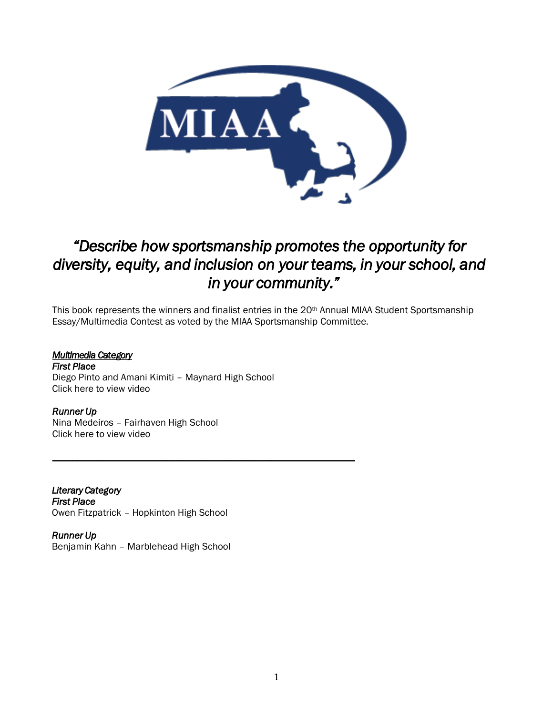

# *"Describe how sportsmanship promotes the opportunity for diversity, equity, and inclusion on your teams, in your school, and in your community."*

This book represents the winners and finalist entries in the 20th Annual MIAA Student Sportsmanship Essay/Multimedia Contest as voted by the MIAA Sportsmanship Committee.

*Multimedia Category First Place*  Diego Pinto and Amani Kimiti – Maynard High School [Click here to view](https://vimeo.com/534065160) video

*\_\_\_\_\_\_\_\_\_\_\_\_\_\_\_\_\_\_\_\_\_\_\_\_\_\_\_\_\_\_\_\_\_\_\_\_\_\_\_\_\_\_\_\_\_\_\_\_\_\_\_\_\_\_\_\_\_\_\_\_\_* 

*Runner Up*  Nina Medeiros – Fairhaven High School Click here [to view video](https://vimeo.com/534595927)

*Literary Category First Place*  Owen Fitzpatrick – Hopkinton High School

*Runner Up*  Benjamin Kahn – Marblehead High School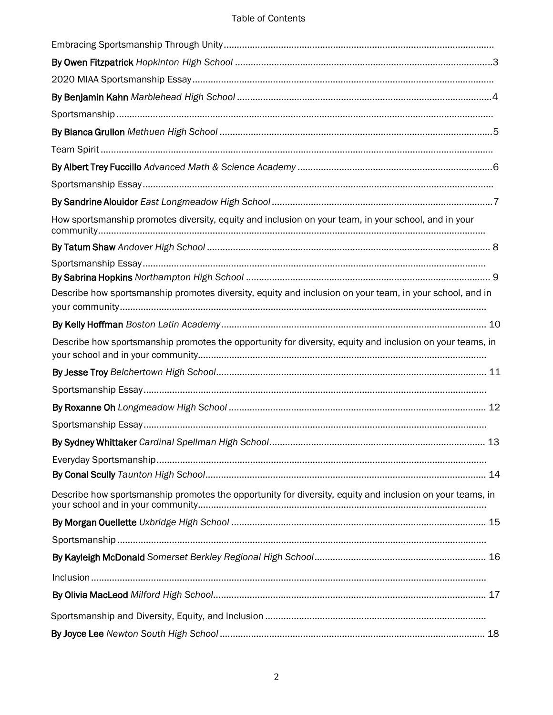# Table of Contents

<span id="page-1-0"></span>

| How sportsmanship promotes diversity, equity and inclusion on your team, in your school, and in your      |  |
|-----------------------------------------------------------------------------------------------------------|--|
|                                                                                                           |  |
|                                                                                                           |  |
|                                                                                                           |  |
| Describe how sportsmanship promotes diversity, equity and inclusion on your team, in your school, and in  |  |
|                                                                                                           |  |
| Describe how sportsmanship promotes the opportunity for diversity, equity and inclusion on your teams, in |  |
|                                                                                                           |  |
|                                                                                                           |  |
|                                                                                                           |  |
|                                                                                                           |  |
|                                                                                                           |  |
|                                                                                                           |  |
|                                                                                                           |  |
| Describe how sportsmanship promotes the opportunity for diversity, equity and inclusion on your teams, in |  |
|                                                                                                           |  |
|                                                                                                           |  |
|                                                                                                           |  |
|                                                                                                           |  |
|                                                                                                           |  |
|                                                                                                           |  |
|                                                                                                           |  |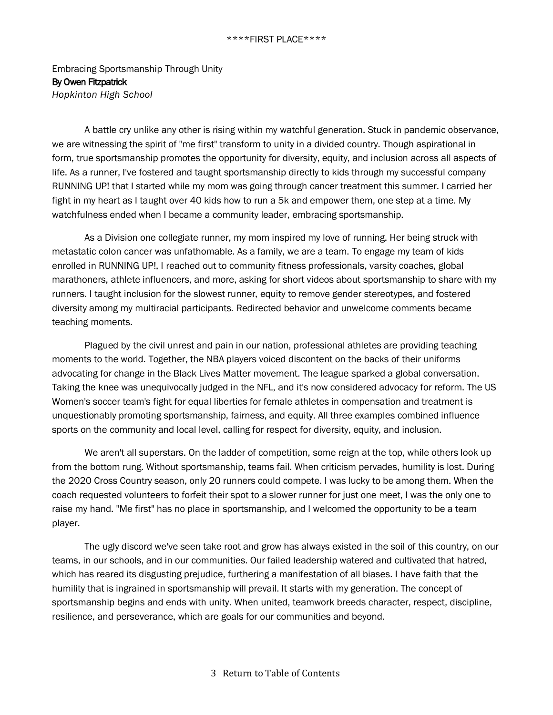<span id="page-2-2"></span><span id="page-2-0"></span>Embracing Sportsmanship Through Unity By Owen Fitzpatrick *Hopkinton High School*

<span id="page-2-1"></span>A battle cry unlike any other is rising within my watchful generation. Stuck in pandemic observance, we are witnessing the spirit of "me first" transform to unity in a divided country. Though aspirational in form, true sportsmanship promotes the opportunity for diversity, equity, and inclusion across all aspects of life. As a runner, I've fostered and taught sportsmanship directly to kids through my successful company RUNNING UP! that I started while my mom was going through cancer treatment this summer. I carried her fight in my heart as I taught over 40 kids how to run a 5k and empower them, one step at a time. My watchfulness ended when I became a community leader, embracing sportsmanship.

As a Division one collegiate runner, my mom inspired my love of running. Her being struck with metastatic colon cancer was unfathomable. As a family, we are a team. To engage my team of kids enrolled in RUNNING UP!, I reached out to community fitness professionals, varsity coaches, global marathoners, athlete influencers, and more, asking for short videos about sportsmanship to share with my runners. I taught inclusion for the slowest runner, equity to remove gender stereotypes, and fostered diversity among my multiracial participants. Redirected behavior and unwelcome comments became teaching moments.

Plagued by the civil unrest and pain in our nation, professional athletes are providing teaching moments to the world. Together, the NBA players voiced discontent on the backs of their uniforms advocating for change in the Black Lives Matter movement. The league sparked a global conversation. Taking the knee was unequivocally judged in the NFL, and it's now considered advocacy for reform. The US Women's soccer team's fight for equal liberties for female athletes in compensation and treatment is unquestionably promoting sportsmanship, fairness, and equity. All three examples combined influence sports on the community and local level, calling for respect for diversity, equity, and inclusion.

We aren't all superstars. On the ladder of competition, some reign at the top, while others look up from the bottom rung. Without sportsmanship, teams fail. When criticism pervades, humility is lost. During the 2020 Cross Country season, only 20 runners could compete. I was lucky to be among them. When the coach requested volunteers to forfeit their spot to a slower runner for just one meet, I was the only one to raise my hand. "Me first" has no place in sportsmanship, and I welcomed the opportunity to be a team player.

The ugly discord we've seen take root and grow has always existed in the soil of this country, on our teams, in our schools, and in our communities. Our failed leadership watered and cultivated that hatred, which has reared its disgusting prejudice, furthering a manifestation of all biases. I have faith that the humility that is ingrained in sportsmanship will prevail. It starts with my generation. The concept of sportsmanship begins and ends with unity. When united, teamwork breeds character, respect, discipline, resilience, and perseverance, which are goals for our communities and beyond.

3 [Return to Table of Contents](#page-1-0)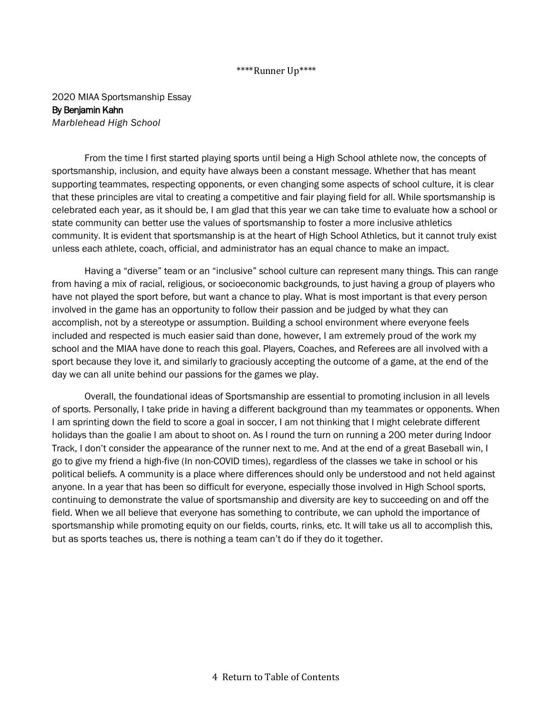## \*\*\*\*Runner Up\*\*\*\*

<span id="page-3-2"></span><span id="page-3-1"></span><span id="page-3-0"></span>2020 MIAA Sportsmanship Essay By Benjamin Kahn *Marblehead High School*

From the time I first started playing sports until being a High School athlete now, the concepts of sportsmanship, inclusion, and equity have always been a constant message. Whether that has meant supporting teammates, respecting opponents, or even changing some aspects of school culture, it is clear that these principles are vital to creating a competitive and fair playing field for all. While sportsmanship is celebrated each year, as it should be, I am glad that this year we can take time to evaluate how a school or state community can better use the values of sportsmanship to foster a more inclusive athletics community. It is evident that sportsmanship is at the heart of High School Athletics, but it cannot truly exist unless each athlete, coach, official, and administrator has an equal chance to make an impact.

Having a "diverse" team or an "inclusive" school culture can represent many things. This can range from having a mix of racial, religious, or socioeconomic backgrounds, to just having a group of players who have not played the sport before, but want a chance to play. What is most important is that every person involved in the game has an opportunity to follow their passion and be judged by what they can accomplish, not by a stereotype or assumption. Building a school environment where everyone feels included and respected is much easier said than done, however, I am extremely proud of the work my school and the MIAA have done to reach this goal. Players, Coaches, and Referees are all involved with a sport because they love it, and similarly to graciously accepting the outcome of a game, at the end of the day we can all unite behind our passions for the games we play.

Overall, the foundational ideas of Sportsmanship are essential to promoting inclusion in all levels of sports. Personally, I take pride in having a different background than my teammates or opponents. When I am sprinting down the field to score a goal in soccer, I am not thinking that I might celebrate different holidays than the goalie I am about to shoot on. As I round the turn on running a 200 meter during Indoor Track, I don't consider the appearance of the runner next to me. And at the end of a great Baseball win, I go to give my friend a high-five (In non-COVID times), regardless of the classes we take in school or his political beliefs. A community is a place where differences should only be understood and not held against anyone. In a year that has been so difficult for everyone, especially those involved in High School sports, continuing to demonstrate the value of sportsmanship and diversity are key to succeeding on and off the field. When we all believe that everyone has something to contribute, we can uphold the importance of sportsmanship while promoting equity on our fields, courts, rinks, etc. It will take us all to accomplish this, but as sports teaches us, there is nothing a team can't do if they do it together.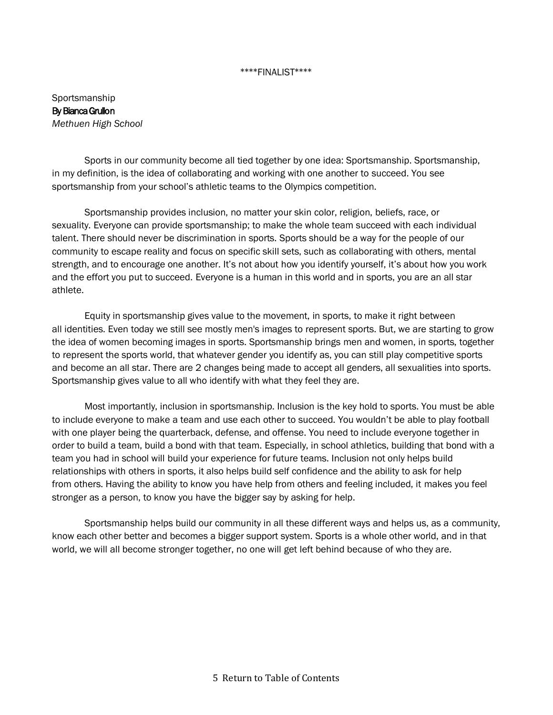<span id="page-4-2"></span><span id="page-4-1"></span><span id="page-4-0"></span>**Sportsmanship** By Bianca Grullon *Methuen High School*

Sports in our community become all tied together by one idea: Sportsmanship. Sportsmanship, in my definition, is the idea of collaborating and working with one another to succeed. You see sportsmanship from your school's athletic teams to the Olympics competition.

Sportsmanship provides inclusion, no matter your skin color, religion, beliefs, race, or sexuality. Everyone can provide sportsmanship; to make the whole team succeed with each individual talent. There should never be discrimination in sports. Sports should be a way for the people of our community to escape reality and focus on specific skill sets, such as collaborating with others, mental strength, and to encourage one another. It's not about how you identify yourself, it's about how you work and the effort you put to succeed. Everyone is a human in this world and in sports, you are an all star athlete.

Equity in sportsmanship gives value to the movement, in sports, to make it right between all identities. Even today we still see mostly men's images to represent sports. But, we are starting to grow the idea of women becoming images in sports. Sportsmanship brings men and women, in sports, together to represent the sports world, that whatever gender you identify as, you can still play competitive sports and become an all star. There are 2 changes being made to accept all genders, all sexualities into sports. Sportsmanship gives value to all who identify with what they feel they are.

Most importantly, inclusion in sportsmanship. Inclusion is the key hold to sports. You must be able to include everyone to make a team and use each other to succeed. You wouldn't be able to play football with one player being the quarterback, defense, and offense. You need to include everyone together in order to build a team, build a bond with that team. Especially, in school athletics, building that bond with a team you had in school will build your experience for future teams. Inclusion not only helps build relationships with others in sports, it also helps build self confidence and the ability to ask for help from others. Having the ability to know you have help from others and feeling included, it makes you feel stronger as a person, to know you have the bigger say by asking for help.

Sportsmanship helps build our community in all these different ways and helps us, as a community, know each other better and becomes a bigger support system. Sports is a whole other world, and in that world, we will all become stronger together, no one will get left behind because of who they are.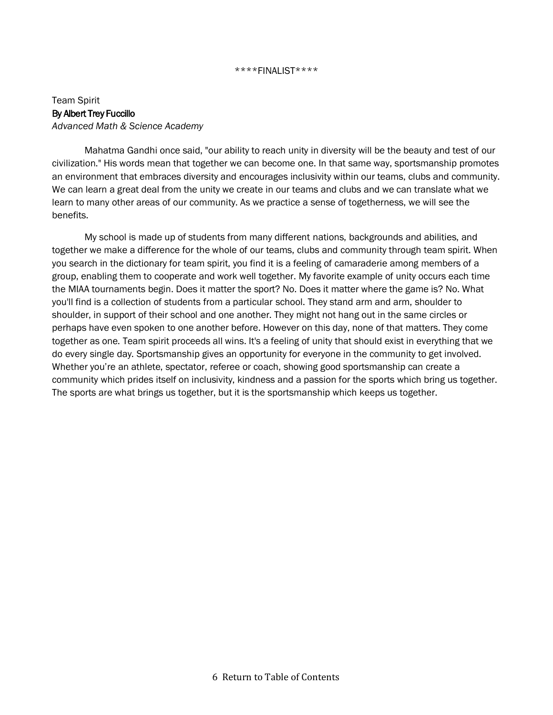## <span id="page-5-2"></span><span id="page-5-1"></span><span id="page-5-0"></span>Team Spirit By Albert Trey Fuccillo *Advanced Math & Science Academy*

Mahatma Gandhi once said, "our ability to reach unity in diversity will be the beauty and test of our civilization." His words mean that together we can become one. In that same way, sportsmanship promotes an environment that embraces diversity and encourages inclusivity within our teams, clubs and community. We can learn a great deal from the unity we create in our teams and clubs and we can translate what we learn to many other areas of our community. As we practice a sense of togetherness, we will see the benefits.

My school is made up of students from many different nations, backgrounds and abilities, and together we make a difference for the whole of our teams, clubs and community through team spirit. When you search in the dictionary for team spirit, you find it is a feeling of camaraderie among members of a group, enabling them to cooperate and work well together. My favorite example of unity occurs each time the MIAA tournaments begin. Does it matter the sport? No. Does it matter where the game is? No. What you'll find is a collection of students from a particular school. They stand arm and arm, shoulder to shoulder, in support of their school and one another. They might not hang out in the same circles or perhaps have even spoken to one another before. However on this day, none of that matters. They come together as one. Team spirit proceeds all wins. It's a feeling of unity that should exist in everything that we do every single day. Sportsmanship gives an opportunity for everyone in the community to get involved. Whether you're an athlete, spectator, referee or coach, showing good sportsmanship can create a community which prides itself on inclusivity, kindness and a passion for the sports which bring us together. The sports are what brings us together, but it is the sportsmanship which keeps us together.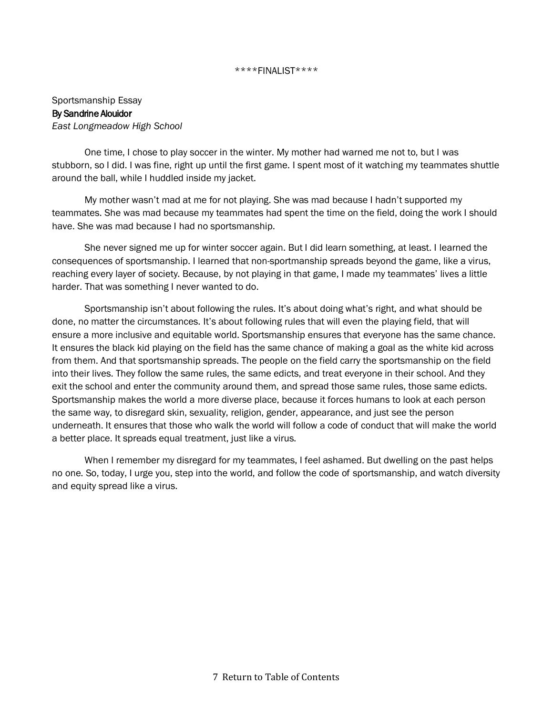# <span id="page-6-2"></span><span id="page-6-1"></span><span id="page-6-0"></span>Sportsmanship Essay By Sandrine Alouidor *East Longmeadow High School*

One time, I chose to play soccer in the winter. My mother had warned me not to, but I was stubborn, so I did. I was fine, right up until the first game. I spent most of it watching my teammates shuttle around the ball, while I huddled inside my jacket.

My mother wasn't mad at me for not playing. She was mad because I hadn't supported my teammates. She was mad because my teammates had spent the time on the field, doing the work I should have. She was mad because I had no sportsmanship.

She never signed me up for winter soccer again. But I did learn something, at least. I learned the consequences of sportsmanship. I learned that non-sportmanship spreads beyond the game, like a virus, reaching every layer of society. Because, by not playing in that game, I made my teammates' lives a little harder. That was something I never wanted to do.

Sportsmanship isn't about following the rules. It's about doing what's right, and what should be done, no matter the circumstances. It's about following rules that will even the playing field, that will ensure a more inclusive and equitable world. Sportsmanship ensures that everyone has the same chance. It ensures the black kid playing on the field has the same chance of making a goal as the white kid across from them. And that sportsmanship spreads. The people on the field carry the sportsmanship on the field into their lives. They follow the same rules, the same edicts, and treat everyone in their school. And they exit the school and enter the community around them, and spread those same rules, those same edicts. Sportsmanship makes the world a more diverse place, because it forces humans to look at each person the same way, to disregard skin, sexuality, religion, gender, appearance, and just see the person underneath. It ensures that those who walk the world will follow a code of conduct that will make the world a better place. It spreads equal treatment, just like a virus.

When I remember my disregard for my teammates, I feel ashamed. But dwelling on the past helps no one. So, today, I urge you, step into the world, and follow the code of sportsmanship, and watch diversity and equity spread like a virus.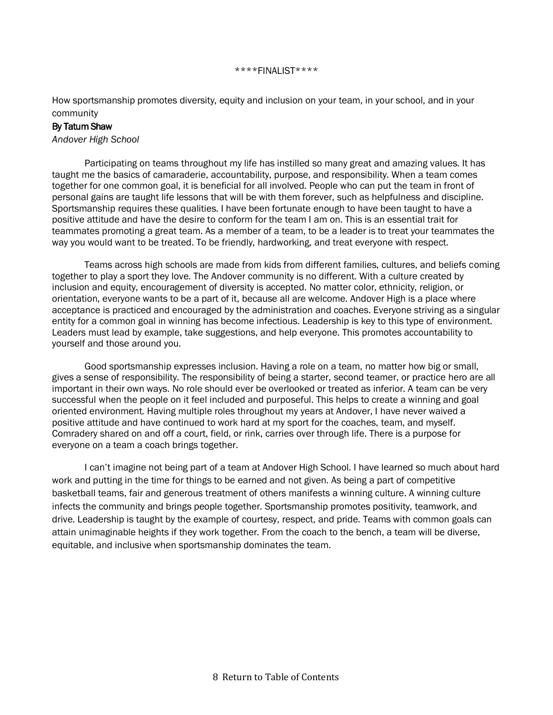<span id="page-7-2"></span><span id="page-7-0"></span>How sportsmanship promotes diversity, equity and inclusion on your team, in your school, and in your community

## <span id="page-7-1"></span>By Tatum Shaw

## *Andover High School*

Participating on teams throughout my life has instilled so many great and amazing values. It has taught me the basics of camaraderie, accountability, purpose, and responsibility. When a team comes together for one common goal, it is beneficial for all involved. People who can put the team in front of personal gains are taught life lessons that will be with them forever, such as helpfulness and discipline. Sportsmanship requires these qualities. I have been fortunate enough to have been taught to have a positive attitude and have the desire to conform for the team I am on. This is an essential trait for teammates promoting a great team. As a member of a team, to be a leader is to treat your teammates the way you would want to be treated. To be friendly, hardworking, and treat everyone with respect.

Teams across high schools are made from kids from different families, cultures, and beliefs coming together to play a sport they love. The Andover community is no different. With a culture created by inclusion and equity, encouragement of diversity is accepted. No matter color, ethnicity, religion, or orientation, everyone wants to be a part of it, because all are welcome. Andover High is a place where acceptance is practiced and encouraged by the administration and coaches. Everyone striving as a singular entity for a common goal in winning has become infectious. Leadership is key to this type of environment. Leaders must lead by example, take suggestions, and help everyone. This promotes accountability to yourself and those around you.

Good sportsmanship expresses inclusion. Having a role on a team, no matter how big or small, gives a sense of responsibility. The responsibility of being a starter, second teamer, or practice hero are all important in their own ways. No role should ever be overlooked or treated as inferior. A team can be very successful when the people on it feel included and purposeful. This helps to create a winning and goal oriented environment. Having multiple roles throughout my years at Andover, I have never waived a positive attitude and have continued to work hard at my sport for the coaches, team, and myself. Comradery shared on and off a court, field, or rink, carries over through life. There is a purpose for everyone on a team a coach brings together.

I can't imagine not being part of a team at Andover High School. I have learned so much about hard work and putting in the time for things to be earned and not given. As being a part of competitive basketball teams, fair and generous treatment of others manifests a winning culture. A winning culture infects the community and brings people together. Sportsmanship promotes positivity, teamwork, and drive. Leadership is taught by the example of courtesy, respect, and pride. Teams with common goals can attain unimaginable heights if they work together. From the coach to the bench, a team will be diverse, equitable, and inclusive when sportsmanship dominates the team.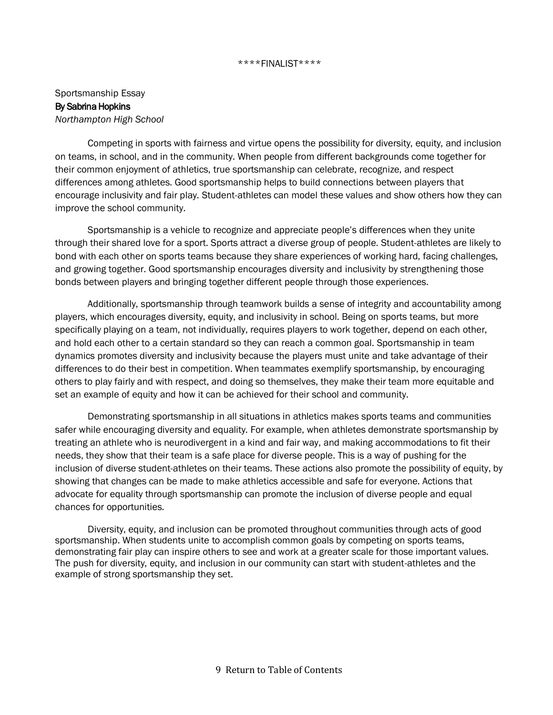<span id="page-8-2"></span><span id="page-8-1"></span><span id="page-8-0"></span>Sportsmanship Essay By Sabrina Hopkins *Northampton High School*

Competing in sports with fairness and virtue opens the possibility for diversity, equity, and inclusion on teams, in school, and in the community. When people from different backgrounds come together for their common enjoyment of athletics, true sportsmanship can celebrate, recognize, and respect differences among athletes. Good sportsmanship helps to build connections between players that encourage inclusivity and fair play. Student-athletes can model these values and show others how they can improve the school community.

Sportsmanship is a vehicle to recognize and appreciate people's differences when they unite through their shared love for a sport. Sports attract a diverse group of people. Student-athletes are likely to bond with each other on sports teams because they share experiences of working hard, facing challenges, and growing together. Good sportsmanship encourages diversity and inclusivity by strengthening those bonds between players and bringing together different people through those experiences.

Additionally, sportsmanship through teamwork builds a sense of integrity and accountability among players, which encourages diversity, equity, and inclusivity in school. Being on sports teams, but more specifically playing on a team, not individually, requires players to work together, depend on each other, and hold each other to a certain standard so they can reach a common goal. Sportsmanship in team dynamics promotes diversity and inclusivity because the players must unite and take advantage of their differences to do their best in competition. When teammates exemplify sportsmanship, by encouraging others to play fairly and with respect, and doing so themselves, they make their team more equitable and set an example of equity and how it can be achieved for their school and community.

Demonstrating sportsmanship in all situations in athletics makes sports teams and communities safer while encouraging diversity and equality. For example, when athletes demonstrate sportsmanship by treating an athlete who is neurodivergent in a kind and fair way, and making accommodations to fit their needs, they show that their team is a safe place for diverse people. This is a way of pushing for the inclusion of diverse student-athletes on their teams. These actions also promote the possibility of equity, by showing that changes can be made to make athletics accessible and safe for everyone. Actions that advocate for equality through sportsmanship can promote the inclusion of diverse people and equal chances for opportunities.

Diversity, equity, and inclusion can be promoted throughout communities through acts of good sportsmanship. When students unite to accomplish common goals by competing on sports teams, demonstrating fair play can inspire others to see and work at a greater scale for those important values. The push for diversity, equity, and inclusion in our community can start with student-athletes and the example of strong sportsmanship they set.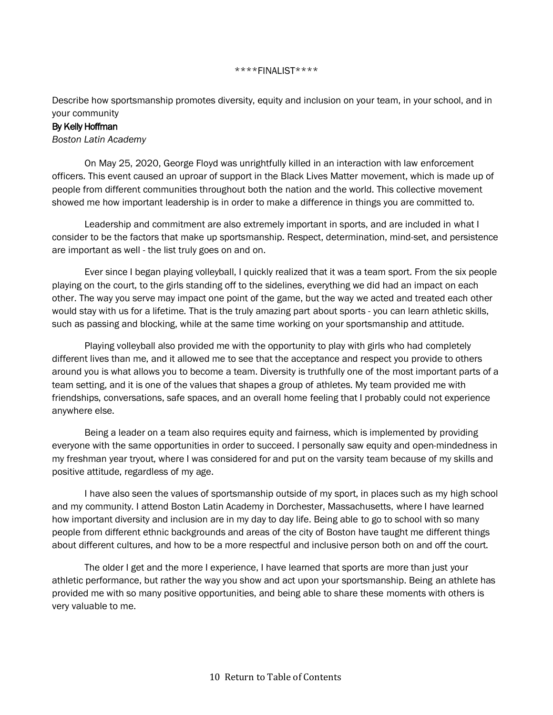<span id="page-9-2"></span><span id="page-9-0"></span>Describe how sportsmanship promotes diversity, equity and inclusion on your team, in your school, and in your community

## <span id="page-9-1"></span>By Kelly Hoffman

## *Boston Latin Academy*

On May 25, 2020, George Floyd was unrightfully killed in an interaction with law enforcement officers. This event caused an uproar of support in the Black Lives Matter movement, which is made up of people from different communities throughout both the nation and the world. This collective movement showed me how important leadership is in order to make a difference in things you are committed to.

Leadership and commitment are also extremely important in sports, and are included in what I consider to be the factors that make up sportsmanship. Respect, determination, mind-set, and persistence are important as well - the list truly goes on and on.

Ever since I began playing volleyball, I quickly realized that it was a team sport. From the six people playing on the court, to the girls standing off to the sidelines, everything we did had an impact on each other. The way you serve may impact one point of the game, but the way we acted and treated each other would stay with us for a lifetime. That is the truly amazing part about sports - you can learn athletic skills, such as passing and blocking, while at the same time working on your sportsmanship and attitude.

Playing volleyball also provided me with the opportunity to play with girls who had completely different lives than me, and it allowed me to see that the acceptance and respect you provide to others around you is what allows you to become a team. Diversity is truthfully one of the most important parts of a team setting, and it is one of the values that shapes a group of athletes. My team provided me with friendships, conversations, safe spaces, and an overall home feeling that I probably could not experience anywhere else.

Being a leader on a team also requires equity and fairness, which is implemented by providing everyone with the same opportunities in order to succeed. I personally saw equity and open-mindedness in my freshman year tryout, where I was considered for and put on the varsity team because of my skills and positive attitude, regardless of my age.

I have also seen the values of sportsmanship outside of my sport, in places such as my high school and my community. I attend Boston Latin Academy in Dorchester, Massachusetts, where I have learned how important diversity and inclusion are in my day to day life. Being able to go to school with so many people from different ethnic backgrounds and areas of the city of Boston have taught me different things about different cultures, and how to be a more respectful and inclusive person both on and off the court.

The older I get and the more I experience, I have learned that sports are more than just your athletic performance, but rather the way you show and act upon your sportsmanship. Being an athlete has provided me with so many positive opportunities, and being able to share these moments with others is very valuable to me.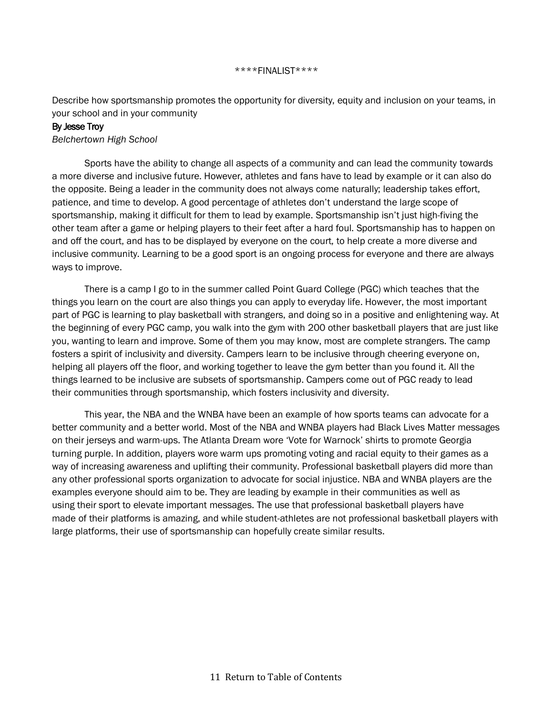<span id="page-10-2"></span><span id="page-10-0"></span>Describe how sportsmanship promotes the opportunity for diversity, equity and inclusion on your teams, in your school and in your community

## <span id="page-10-1"></span>By Jesse Troy

## *Belchertown High School*

Sports have the ability to change all aspects of a community and can lead the community towards a more diverse and inclusive future. However, athletes and fans have to lead by example or it can also do the opposite. Being a leader in the community does not always come naturally; leadership takes effort, patience, and time to develop. A good percentage of athletes don't understand the large scope of sportsmanship, making it difficult for them to lead by example. Sportsmanship isn't just high-fiving the other team after a game or helping players to their feet after a hard foul. Sportsmanship has to happen on and off the court, and has to be displayed by everyone on the court, to help create a more diverse and inclusive community. Learning to be a good sport is an ongoing process for everyone and there are always ways to improve.

There is a camp I go to in the summer called Point Guard College (PGC) which teaches that the things you learn on the court are also things you can apply to everyday life. However, the most important part of PGC is learning to play basketball with strangers, and doing so in a positive and enlightening way. At the beginning of every PGC camp, you walk into the gym with 200 other basketball players that are just like you, wanting to learn and improve. Some of them you may know, most are complete strangers. The camp fosters a spirit of inclusivity and diversity. Campers learn to be inclusive through cheering everyone on, helping all players off the floor, and working together to leave the gym better than you found it. All the things learned to be inclusive are subsets of sportsmanship. Campers come out of PGC ready to lead their communities through sportsmanship, which fosters inclusivity and diversity.

This year, the NBA and the WNBA have been an example of how sports teams can advocate for a better community and a better world. Most of the NBA and WNBA players had Black Lives Matter messages on their jerseys and warm-ups. The Atlanta Dream wore 'Vote for Warnock' shirts to promote Georgia turning purple. In addition, players wore warm ups promoting voting and racial equity to their games as a way of increasing awareness and uplifting their community. Professional basketball players did more than any other professional sports organization to advocate for social injustice. NBA and WNBA players are the examples everyone should aim to be. They are leading by example in their communities as well as using their sport to elevate important messages. The use that professional basketball players have made of their platforms is amazing, and while student-athletes are not professional basketball players with large platforms, their use of sportsmanship can hopefully create similar results.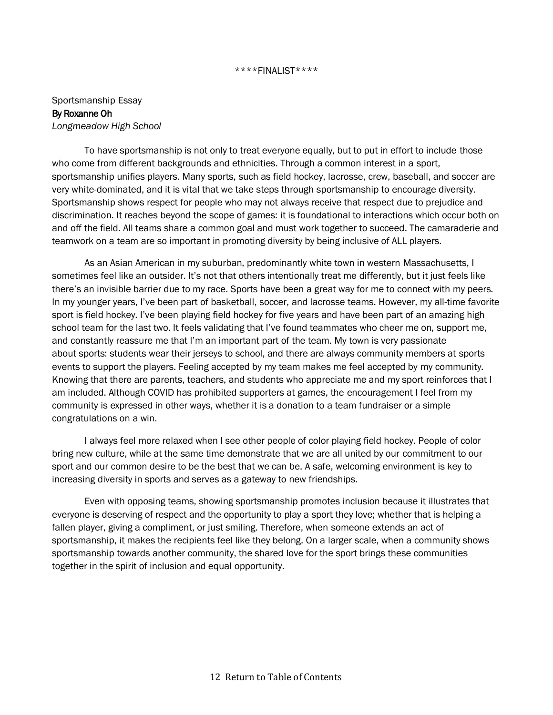<span id="page-11-2"></span><span id="page-11-1"></span><span id="page-11-0"></span>Sportsmanship Essay By Roxanne Oh *Longmeadow High School*

To have sportsmanship is not only to treat everyone equally, but to put in effort to include those who come from different backgrounds and ethnicities. Through a common interest in a sport, sportsmanship unifies players. Many sports, such as field hockey, lacrosse, crew, baseball, and soccer are very white-dominated, and it is vital that we take steps through sportsmanship to encourage diversity. Sportsmanship shows respect for people who may not always receive that respect due to prejudice and discrimination. It reaches beyond the scope of games: it is foundational to interactions which occur both on and off the field. All teams share a common goal and must work together to succeed. The camaraderie and teamwork on a team are so important in promoting diversity by being inclusive of ALL players.

As an Asian American in my suburban, predominantly white town in western Massachusetts, I sometimes feel like an outsider. It's not that others intentionally treat me differently, but it just feels like there's an invisible barrier due to my race. Sports have been a great way for me to connect with my peers. In my younger years, I've been part of basketball, soccer, and lacrosse teams. However, my all-time favorite sport is field hockey. I've been playing field hockey for five years and have been part of an amazing high school team for the last two. It feels validating that I've found teammates who cheer me on, support me, and constantly reassure me that I'm an important part of the team. My town is very passionate about sports: students wear their jerseys to school, and there are always community members at sports events to support the players. Feeling accepted by my team makes me feel accepted by my community. Knowing that there are parents, teachers, and students who appreciate me and my sport reinforces that I am included. Although COVID has prohibited supporters at games, the encouragement I feel from my community is expressed in other ways, whether it is a donation to a team fundraiser or a simple congratulations on a win.

I always feel more relaxed when I see other people of color playing field hockey. People of color bring new culture, while at the same time demonstrate that we are all united by our commitment to our sport and our common desire to be the best that we can be. A safe, welcoming environment is key to increasing diversity in sports and serves as a gateway to new friendships.

Even with opposing teams, showing sportsmanship promotes inclusion because it illustrates that everyone is deserving of respect and the opportunity to play a sport they love; whether that is helping a fallen player, giving a compliment, or just smiling. Therefore, when someone extends an act of sportsmanship, it makes the recipients feel like they belong. On a larger scale, when a community shows sportsmanship towards another community, the shared love for the sport brings these communities together in the spirit of inclusion and equal opportunity.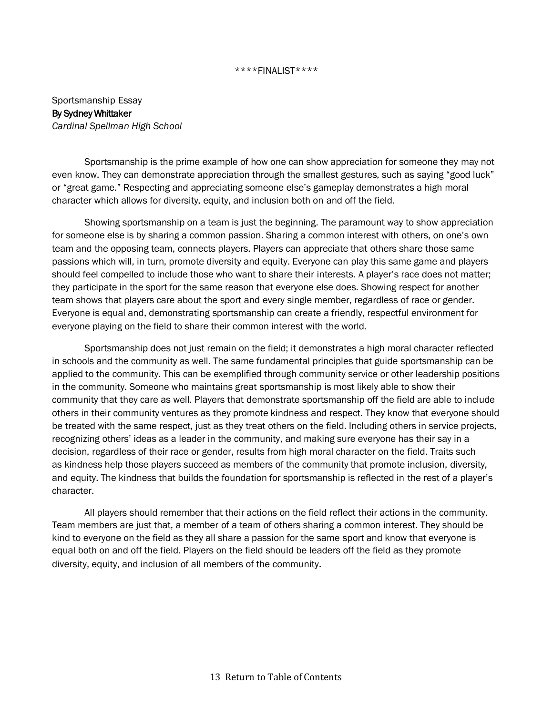<span id="page-12-2"></span><span id="page-12-1"></span><span id="page-12-0"></span>Sportsmanship Essay By Sydney Whittaker *Cardinal Spellman High School*

Sportsmanship is the prime example of how one can show appreciation for someone they may not even know. They can demonstrate appreciation through the smallest gestures, such as saying "good luck" or "great game." Respecting and appreciating someone else's gameplay demonstrates a high moral character which allows for diversity, equity, and inclusion both on and off the field.

Showing sportsmanship on a team is just the beginning. The paramount way to show appreciation for someone else is by sharing a common passion. Sharing a common interest with others, on one's own team and the opposing team, connects players. Players can appreciate that others share those same passions which will, in turn, promote diversity and equity. Everyone can play this same game and players should feel compelled to include those who want to share their interests. A player's race does not matter; they participate in the sport for the same reason that everyone else does. Showing respect for another team shows that players care about the sport and every single member, regardless of race or gender. Everyone is equal and, demonstrating sportsmanship can create a friendly, respectful environment for everyone playing on the field to share their common interest with the world.

Sportsmanship does not just remain on the field; it demonstrates a high moral character reflected in schools and the community as well. The same fundamental principles that guide sportsmanship can be applied to the community. This can be exemplified through community service or other leadership positions in the community. Someone who maintains great sportsmanship is most likely able to show their community that they care as well. Players that demonstrate sportsmanship off the field are able to include others in their community ventures as they promote kindness and respect. They know that everyone should be treated with the same respect, just as they treat others on the field. Including others in service projects, recognizing others' ideas as a leader in the community, and making sure everyone has their say in a decision, regardless of their race or gender, results from high moral character on the field. Traits such as kindness help those players succeed as members of the community that promote inclusion, diversity, and equity. The kindness that builds the foundation for sportsmanship is reflected in the rest of a player's character.

All players should remember that their actions on the field reflect their actions in the community. Team members are just that, a member of a team of others sharing a common interest. They should be kind to everyone on the field as they all share a passion for the same sport and know that everyone is equal both on and off the field. Players on the field should be leaders off the field as they promote diversity, equity, and inclusion of all members of the community.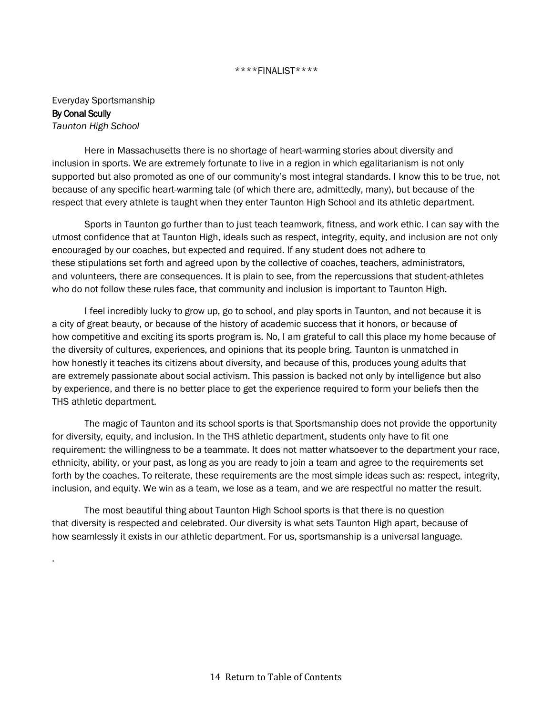<span id="page-13-2"></span><span id="page-13-1"></span><span id="page-13-0"></span>Everyday Sportsmanship By Conal Scully *Taunton High School*

.

Here in Massachusetts there is no shortage of heart-warming stories about diversity and inclusion in sports. We are extremely fortunate to live in a region in which egalitarianism is not only supported but also promoted as one of our community's most integral standards. I know this to be true, not because of any specific heart-warming tale (of which there are, admittedly, many), but because of the respect that every athlete is taught when they enter Taunton High School and its athletic department.

Sports in Taunton go further than to just teach teamwork, fitness, and work ethic. I can say with the utmost confidence that at Taunton High, ideals such as respect, integrity, equity, and inclusion are not only encouraged by our coaches, but expected and required. If any student does not adhere to these stipulations set forth and agreed upon by the collective of coaches, teachers, administrators, and volunteers, there are consequences. It is plain to see, from the repercussions that student-athletes who do not follow these rules face, that community and inclusion is important to Taunton High.

I feel incredibly lucky to grow up, go to school, and play sports in Taunton, and not because it is a city of great beauty, or because of the history of academic success that it honors, or because of how competitive and exciting its sports program is. No, I am grateful to call this place my home because of the diversity of cultures, experiences, and opinions that its people bring. Taunton is unmatched in how honestly it teaches its citizens about diversity, and because of this, produces young adults that are extremely passionate about social activism. This passion is backed not only by intelligence but also by experience, and there is no better place to get the experience required to form your beliefs then the THS athletic department.

The magic of Taunton and its school sports is that Sportsmanship does not provide the opportunity for diversity, equity, and inclusion. In the THS athletic department, students only have to fit one requirement: the willingness to be a teammate. It does not matter whatsoever to the department your race, ethnicity, ability, or your past, as long as you are ready to join a team and agree to the requirements set forth by the coaches. To reiterate, these requirements are the most simple ideas such as: respect, integrity, inclusion, and equity. We win as a team, we lose as a team, and we are respectful no matter the result.

The most beautiful thing about Taunton High School sports is that there is no question that diversity is respected and celebrated. Our diversity is what sets Taunton High apart, because of how seamlessly it exists in our athletic department. For us, sportsmanship is a universal language.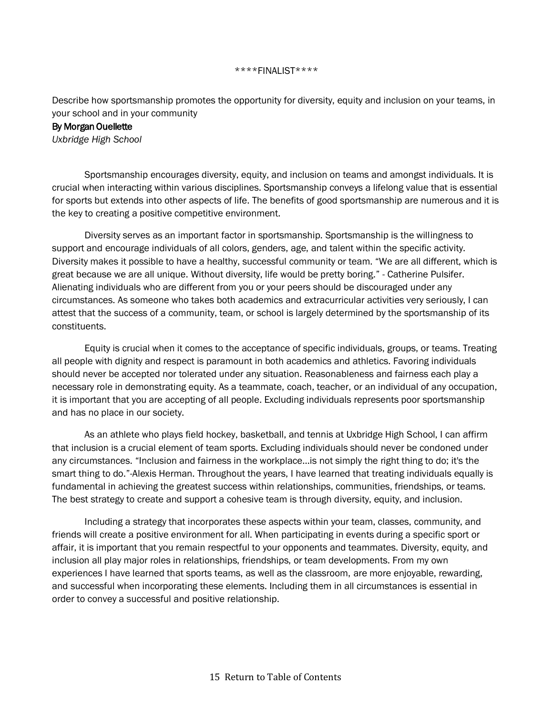<span id="page-14-2"></span><span id="page-14-0"></span>Describe how sportsmanship promotes the opportunity for diversity, equity and inclusion on your teams, in your school and in your community

## <span id="page-14-1"></span>By Morgan Ouellette

*Uxbridge High School* 

Sportsmanship encourages diversity, equity, and inclusion on teams and amongst individuals. It is crucial when interacting within various disciplines. Sportsmanship conveys a lifelong value that is essential for sports but extends into other aspects of life. The benefits of good sportsmanship are numerous and it is the key to creating a positive competitive environment.

Diversity serves as an important factor in sportsmanship. Sportsmanship is the willingness to support and encourage individuals of all colors, genders, age, and talent within the specific activity. Diversity makes it possible to have a healthy, successful community or team. "We are all different, which is great because we are all unique. Without diversity, life would be pretty boring." - Catherine Pulsifer. Alienating individuals who are different from you or your peers should be discouraged under any circumstances. As someone who takes both academics and extracurricular activities very seriously, I can attest that the success of a community, team, or school is largely determined by the sportsmanship of its constituents.

Equity is crucial when it comes to the acceptance of specific individuals, groups, or teams. Treating all people with dignity and respect is paramount in both academics and athletics. Favoring individuals should never be accepted nor tolerated under any situation. Reasonableness and fairness each play a necessary role in demonstrating equity. As a teammate, coach, teacher, or an individual of any occupation, it is important that you are accepting of all people. Excluding individuals represents poor sportsmanship and has no place in our society.

As an athlete who plays field hockey, basketball, and tennis at Uxbridge High School, I can affirm that inclusion is a crucial element of team sports. Excluding individuals should never be condoned under any circumstances. "Inclusion and fairness in the workplace…is not simply the right thing to do; it's the smart thing to do."-Alexis Herman. Throughout the years, I have learned that treating individuals equally is fundamental in achieving the greatest success within relationships, communities, friendships, or teams. The best strategy to create and support a cohesive team is through diversity, equity, and inclusion.

Including a strategy that incorporates these aspects within your team, classes, community, and friends will create a positive environment for all. When participating in events during a specific sport or affair, it is important that you remain respectful to your opponents and teammates. Diversity, equity, and inclusion all play major roles in relationships, friendships, or team developments. From my own experiences I have learned that sports teams, as well as the classroom, are more enjoyable, rewarding, and successful when incorporating these elements. Including them in all circumstances is essential in order to convey a successful and positive relationship.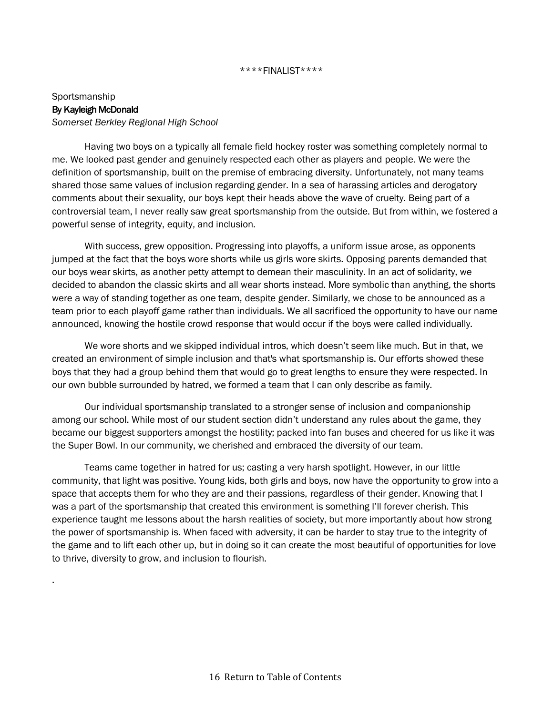# <span id="page-15-2"></span><span id="page-15-1"></span><span id="page-15-0"></span>Sportsmanship By Kayleigh McDonald *Somerset Berkley Regional High School*

.

Having two boys on a typically all female field hockey roster was something completely normal to me. We looked past gender and genuinely respected each other as players and people. We were the definition of sportsmanship, built on the premise of embracing diversity. Unfortunately, not many teams shared those same values of inclusion regarding gender. In a sea of harassing articles and derogatory comments about their sexuality, our boys kept their heads above the wave of cruelty. Being part of a controversial team, I never really saw great sportsmanship from the outside. But from within, we fostered a powerful sense of integrity, equity, and inclusion.

With success, grew opposition. Progressing into playoffs, a uniform issue arose, as opponents jumped at the fact that the boys wore shorts while us girls wore skirts. Opposing parents demanded that our boys wear skirts, as another petty attempt to demean their masculinity. In an act of solidarity, we decided to abandon the classic skirts and all wear shorts instead. More symbolic than anything, the shorts were a way of standing together as one team, despite gender. Similarly, we chose to be announced as a team prior to each playoff game rather than individuals. We all sacrificed the opportunity to have our name announced, knowing the hostile crowd response that would occur if the boys were called individually.

We wore shorts and we skipped individual intros, which doesn't seem like much. But in that, we created an environment of simple inclusion and that's what sportsmanship is. Our efforts showed these boys that they had a group behind them that would go to great lengths to ensure they were respected. In our own bubble surrounded by hatred, we formed a team that I can only describe as family.

Our individual sportsmanship translated to a stronger sense of inclusion and companionship among our school. While most of our student section didn't understand any rules about the game, they became our biggest supporters amongst the hostility; packed into fan buses and cheered for us like it was the Super Bowl. In our community, we cherished and embraced the diversity of our team.

Teams came together in hatred for us; casting a very harsh spotlight. However, in our little community, that light was positive. Young kids, both girls and boys, now have the opportunity to grow into a space that accepts them for who they are and their passions, regardless of their gender. Knowing that I was a part of the sportsmanship that created this environment is something I'll forever cherish. This experience taught me lessons about the harsh realities of society, but more importantly about how strong the power of sportsmanship is. When faced with adversity, it can be harder to stay true to the integrity of the game and to lift each other up, but in doing so it can create the most beautiful of opportunities for love to thrive, diversity to grow, and inclusion to flourish.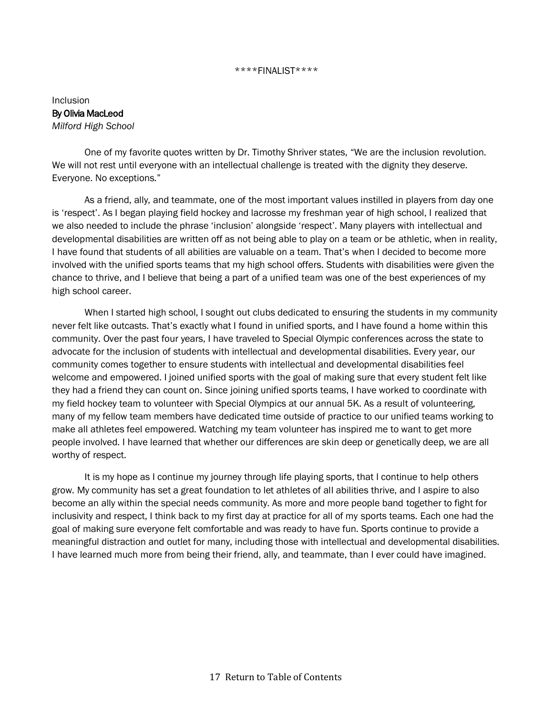# <span id="page-16-2"></span><span id="page-16-1"></span><span id="page-16-0"></span>**Inclusion** By Olivia MacLeod *Milford High School*

One of my favorite quotes written by Dr. Timothy Shriver states, "We are the inclusion revolution. We will not rest until everyone with an intellectual challenge is treated with the dignity they deserve. Everyone. No exceptions."

As a friend, ally, and teammate, one of the most important values instilled in players from day one is 'respect'. As I began playing field hockey and lacrosse my freshman year of high school, I realized that we also needed to include the phrase 'inclusion' alongside 'respect'. Many players with intellectual and developmental disabilities are written off as not being able to play on a team or be athletic, when in reality, I have found that students of all abilities are valuable on a team. That's when I decided to become more involved with the unified sports teams that my high school offers. Students with disabilities were given the chance to thrive, and I believe that being a part of a unified team was one of the best experiences of my high school career.

When I started high school, I sought out clubs dedicated to ensuring the students in my community never felt like outcasts. That's exactly what I found in unified sports, and I have found a home within this community. Over the past four years, I have traveled to Special Olympic conferences across the state to advocate for the inclusion of students with intellectual and developmental disabilities. Every year, our community comes together to ensure students with intellectual and developmental disabilities feel welcome and empowered. I joined unified sports with the goal of making sure that every student felt like they had a friend they can count on. Since joining unified sports teams, I have worked to coordinate with my field hockey team to volunteer with Special Olympics at our annual 5K. As a result of volunteering, many of my fellow team members have dedicated time outside of practice to our unified teams working to make all athletes feel empowered. Watching my team volunteer has inspired me to want to get more people involved. I have learned that whether our differences are skin deep or genetically deep, we are all worthy of respect.

It is my hope as I continue my journey through life playing sports, that I continue to help others grow. My community has set a great foundation to let athletes of all abilities thrive, and I aspire to also become an ally within the special needs community. As more and more people band together to fight for inclusivity and respect, I think back to my first day at practice for all of my sports teams. Each one had the goal of making sure everyone felt comfortable and was ready to have fun. Sports continue to provide a meaningful distraction and outlet for many, including those with intellectual and developmental disabilities. I have learned much more from being their friend, ally, and teammate, than I ever could have imagined.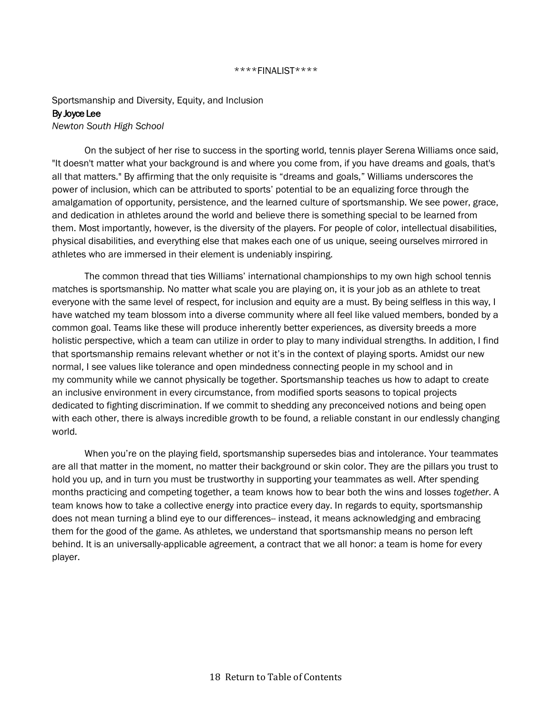<span id="page-17-0"></span>Sportsmanship and Diversity, Equity, and Inclusion By Joyce Lee *Newton South High School*

On the subject of her rise to success in the sporting world, tennis player Serena Williams once said, "It doesn't matter what your background is and where you come from, if you have dreams and goals, that's all that matters." By affirming that the only requisite is "dreams and goals," Williams underscores the power of inclusion, which can be attributed to sports' potential to be an equalizing force through the amalgamation of opportunity, persistence, and the learned culture of sportsmanship. We see power, grace, and dedication in athletes around the world and believe there is something special to be learned from them. Most importantly, however, is the diversity of the players. For people of color, intellectual disabilities, physical disabilities, and everything else that makes each one of us unique, seeing ourselves mirrored in athletes who are immersed in their element is undeniably inspiring.

The common thread that ties Williams' international championships to my own high school tennis matches is sportsmanship. No matter what scale you are playing on, it is your job as an athlete to treat everyone with the same level of respect, for inclusion and equity are a must. By being selfless in this way, I have watched my team blossom into a diverse community where all feel like valued members, bonded by a common goal. Teams like these will produce inherently better experiences, as diversity breeds a more holistic perspective, which a team can utilize in order to play to many individual strengths. In addition, I find that sportsmanship remains relevant whether or not it's in the context of playing sports. Amidst our new normal, I see values like tolerance and open mindedness connecting people in my school and in my community while we cannot physically be together. Sportsmanship teaches us how to adapt to create an inclusive environment in every circumstance, from modified sports seasons to topical projects dedicated to fighting discrimination. If we commit to shedding any preconceived notions and being open with each other, there is always incredible growth to be found, a reliable constant in our endlessly changing world.

When you're on the playing field, sportsmanship supersedes bias and intolerance. Your teammates are all that matter in the moment, no matter their background or skin color. They are the pillars you trust to hold you up, and in turn you must be trustworthy in supporting your teammates as well. After spending months practicing and competing together, a team knows how to bear both the wins and losses *together*. A team knows how to take a collective energy into practice every day. In regards to equity, sportsmanship does not mean turning a blind eye to our differences-- instead, it means acknowledging and embracing them for the good of the game. As athletes, we understand that sportsmanship means no person left behind. It is an universally-applicable agreement, a contract that we all honor: a team is home for every player.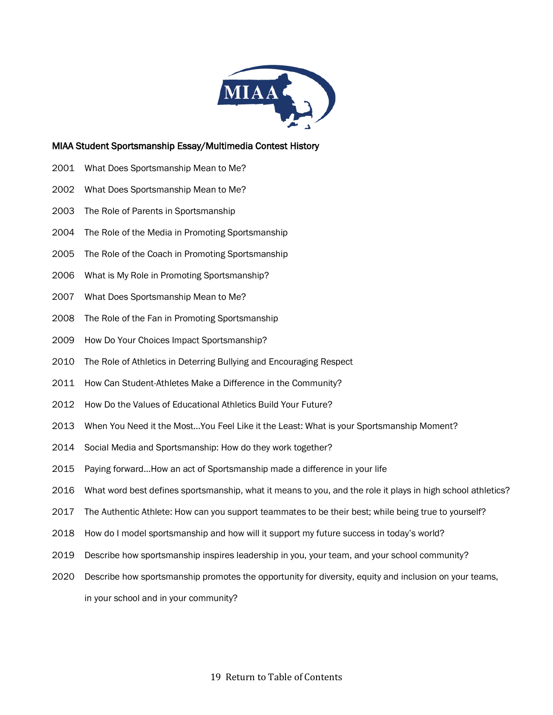

## MIAA Student Sportsmanship Essay/Multimedia Contest History

- 2001 What Does Sportsmanship Mean to Me?
- 2002 What Does Sportsmanship Mean to Me?
- 2003 The Role of Parents in Sportsmanship
- 2004 The Role of the Media in Promoting Sportsmanship
- 2005 The Role of the Coach in Promoting Sportsmanship
- 2006 What is My Role in Promoting Sportsmanship?
- 2007 What Does Sportsmanship Mean to Me?
- 2008 The Role of the Fan in Promoting Sportsmanship
- 2009 How Do Your Choices Impact Sportsmanship?
- 2010 The Role of Athletics in Deterring Bullying and Encouraging Respect
- 2011 How Can Student-Athletes Make a Difference in the Community?
- 2012 How Do the Values of Educational Athletics Build Your Future?
- 2013 When You Need it the Most…You Feel Like it the Least: What is your Sportsmanship Moment?
- 2014 Social Media and Sportsmanship: How do they work together?
- 2015 Paying forward…How an act of Sportsmanship made a difference in your life
- 2016 What word best defines sportsmanship, what it means to you, and the role it plays in high school athletics?
- 2017 The Authentic Athlete: How can you support teammates to be their best; while being true to yourself?
- 2018 How do I model sportsmanship and how will it support my future success in today's world?
- 2019 Describe how sportsmanship inspires leadership in you, your team, and your school community?
- 2020 Describe how sportsmanship promotes the opportunity for diversity, equity and inclusion on your teams, in your school and in your community?